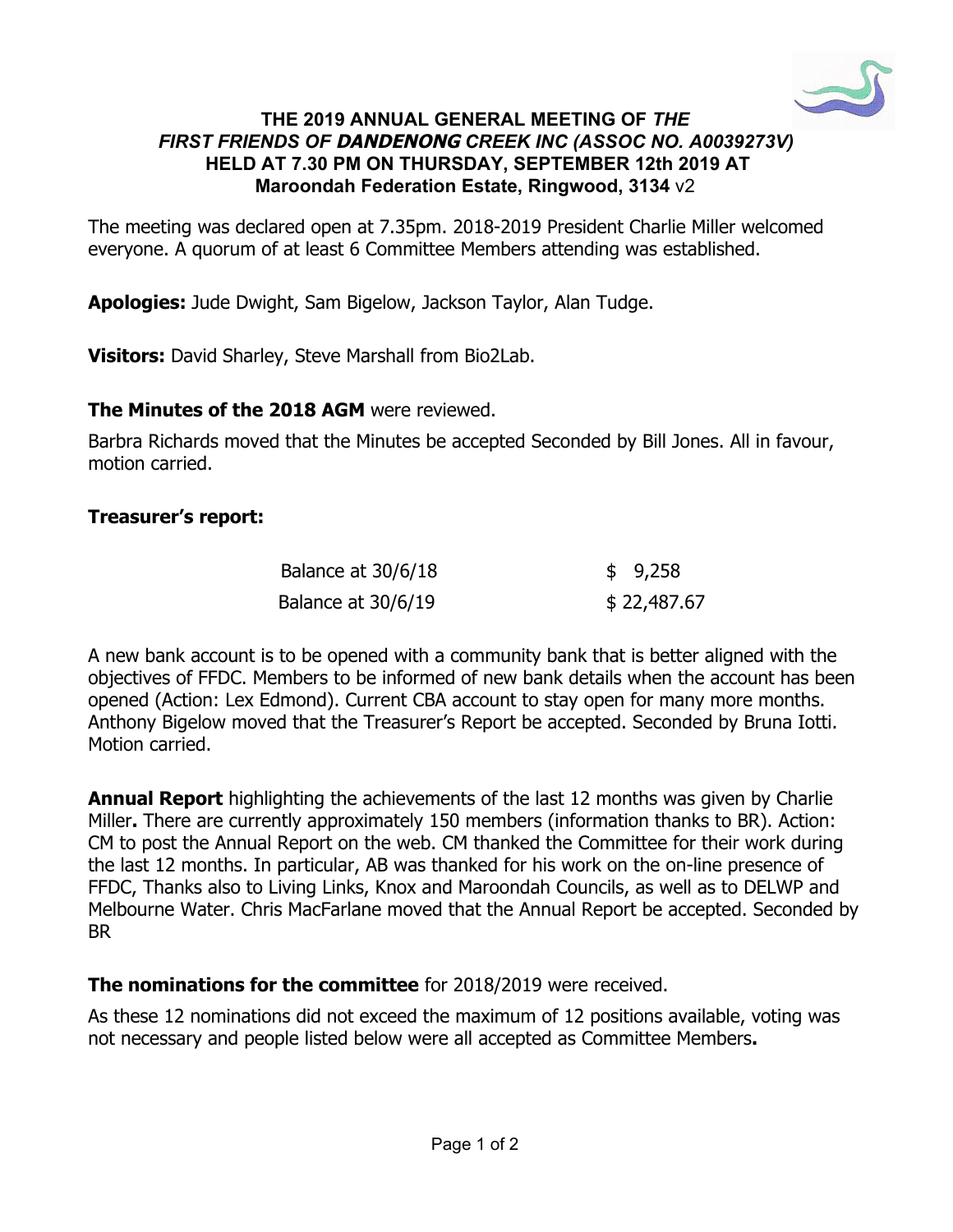

#### **THE 2019 ANNUAL GENERAL MEETING OF** *THE FIRST FRIENDS OF* **DANDENONG** *CREEK INC (ASSOC NO. A0039273V)*  **HELD AT 7.30 PM ON THURSDAY, SEPTEMBER 12th 2019 AT Maroondah Federation Estate, Ringwood, 3134** v2

The meeting was declared open at 7.35pm. 2018-2019 President Charlie Miller welcomed everyone. A quorum of at least 6 Committee Members attending was established.

**Apologies:** Jude Dwight, Sam Bigelow, Jackson Taylor, Alan Tudge.

**Visitors:** DavidSharley, Steve Marshall from Bio2Lab.

#### **The Minutes of the 2018 AGM** were reviewed.

Barbra Richards moved that the Minutes be accepted Seconded by Bill Jones. All in favour, motion carried.

## **Treasurer's report:**

| Balance at 30/6/18 | \$9,258     |
|--------------------|-------------|
| Balance at 30/6/19 | \$22,487.67 |

A new bank account is to be opened with a community bank that is better aligned with the objectives of FFDC. Members to be informed of new bank details when the account has been opened (Action: Lex Edmond). Current CBA account to stay open for many more months. Anthony Bigelow moved that the Treasurer's Report be accepted. Seconded by Bruna Iotti. Motion carried.

**Annual Report** highlighting the achievements of the last 12 months was given by Charlie Miller**.** There are currently approximately 150 members (information thanks to BR). Action: CM to post the Annual Report on the web. CM thanked the Committee for their work during the last 12 months. In particular, AB was thanked for his work on the on-line presence of FFDC, Thanks also to Living Links, Knox and Maroondah Councils, as well as to DELWP and Melbourne Water. Chris MacFarlane moved that the Annual Report be accepted. Seconded by BR

## **The nominations for the committee** for 2018/2019 were received.

As these 12 nominations did not exceed the maximum of 12 positions available, voting was not necessary and people listed below were all accepted as Committee Members**.**